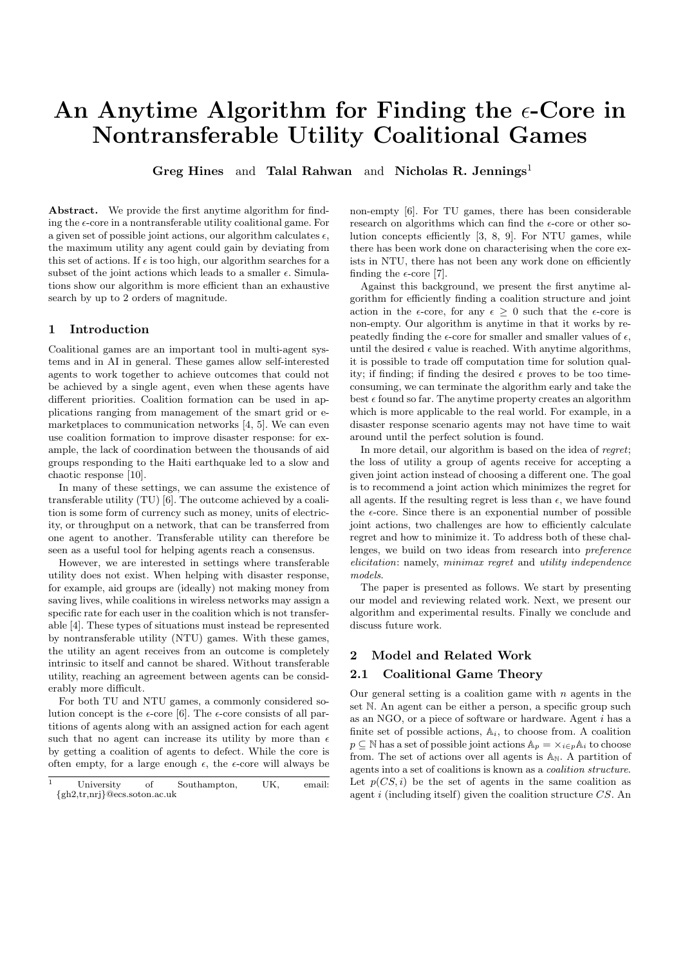# An Anytime Algorithm for Finding the  $\epsilon$ -Core in Nontransferable Utility Coalitional Games

Greg Hines and Talal Rahwan and Nicholas R. Jennings<sup>1</sup>

Abstract. We provide the first anytime algorithm for finding the  $\epsilon$ -core in a nontransferable utility coalitional game. For a given set of possible joint actions, our algorithm calculates  $\epsilon$ , the maximum utility any agent could gain by deviating from this set of actions. If  $\epsilon$  is too high, our algorithm searches for a subset of the joint actions which leads to a smaller  $\epsilon$ . Simulations show our algorithm is more efficient than an exhaustive search by up to 2 orders of magnitude.

# 1 Introduction

Coalitional games are an important tool in multi-agent systems and in AI in general. These games allow self-interested agents to work together to achieve outcomes that could not be achieved by a single agent, even when these agents have different priorities. Coalition formation can be used in applications ranging from management of the smart grid or emarketplaces to communication networks [4, 5]. We can even use coalition formation to improve disaster response: for example, the lack of coordination between the thousands of aid groups responding to the Haiti earthquake led to a slow and chaotic response [10].

In many of these settings, we can assume the existence of transferable utility (TU) [6]. The outcome achieved by a coalition is some form of currency such as money, units of electricity, or throughput on a network, that can be transferred from one agent to another. Transferable utility can therefore be seen as a useful tool for helping agents reach a consensus.

However, we are interested in settings where transferable utility does not exist. When helping with disaster response, for example, aid groups are (ideally) not making money from saving lives, while coalitions in wireless networks may assign a specific rate for each user in the coalition which is not transferable [4]. These types of situations must instead be represented by nontransferable utility (NTU) games. With these games, the utility an agent receives from an outcome is completely intrinsic to itself and cannot be shared. Without transferable utility, reaching an agreement between agents can be considerably more difficult.

For both TU and NTU games, a commonly considered solution concept is the  $\epsilon$ -core [6]. The  $\epsilon$ -core consists of all partitions of agents along with an assigned action for each agent such that no agent can increase its utility by more than  $\epsilon$ by getting a coalition of agents to defect. While the core is often empty, for a large enough  $\epsilon$ , the  $\epsilon$ -core will always be

non-empty [6]. For TU games, there has been considerable research on algorithms which can find the  $\epsilon$ -core or other solution concepts efficiently [3, 8, 9]. For NTU games, while there has been work done on characterising when the core exists in NTU, there has not been any work done on efficiently finding the  $\epsilon$ -core [7].

Against this background, we present the first anytime algorithm for efficiently finding a coalition structure and joint action in the  $\epsilon$ -core, for any  $\epsilon > 0$  such that the  $\epsilon$ -core is non-empty. Our algorithm is anytime in that it works by repeatedly finding the  $\epsilon$ -core for smaller and smaller values of  $\epsilon$ , until the desired  $\epsilon$  value is reached. With anytime algorithms, it is possible to trade off computation time for solution quality; if finding; if finding the desired  $\epsilon$  proves to be too timeconsuming, we can terminate the algorithm early and take the best  $\epsilon$  found so far. The anytime property creates an algorithm which is more applicable to the real world. For example, in a disaster response scenario agents may not have time to wait around until the perfect solution is found.

In more detail, our algorithm is based on the idea of regret; the loss of utility a group of agents receive for accepting a given joint action instead of choosing a different one. The goal is to recommend a joint action which minimizes the regret for all agents. If the resulting regret is less than  $\epsilon$ , we have found the  $\epsilon$ -core. Since there is an exponential number of possible joint actions, two challenges are how to efficiently calculate regret and how to minimize it. To address both of these challenges, we build on two ideas from research into preference elicitation: namely, minimax regret and utility independence models.

The paper is presented as follows. We start by presenting our model and reviewing related work. Next, we present our algorithm and experimental results. Finally we conclude and discuss future work.

# 2 Model and Related Work

#### 2.1 Coalitional Game Theory

Our general setting is a coalition game with  $n$  agents in the set N. An agent can be either a person, a specific group such as an NGO, or a piece of software or hardware. Agent i has a finite set of possible actions,  $A_i$ , to choose from. A coalition  $p \subseteq \mathbb{N}$  has a set of possible joint actions  $\mathbb{A}_p = \times_{i \in p} \mathbb{A}_i$  to choose from. The set of actions over all agents is  $A_N$ . A partition of agents into a set of coalitions is known as a coalition structure. Let  $p(CS, i)$  be the set of agents in the same coalition as agent  $i$  (including itself) given the coalition structure  $CS$ . An

University of Southampton, UK, email: {gh2,tr,nrj}@ecs.soton.ac.uk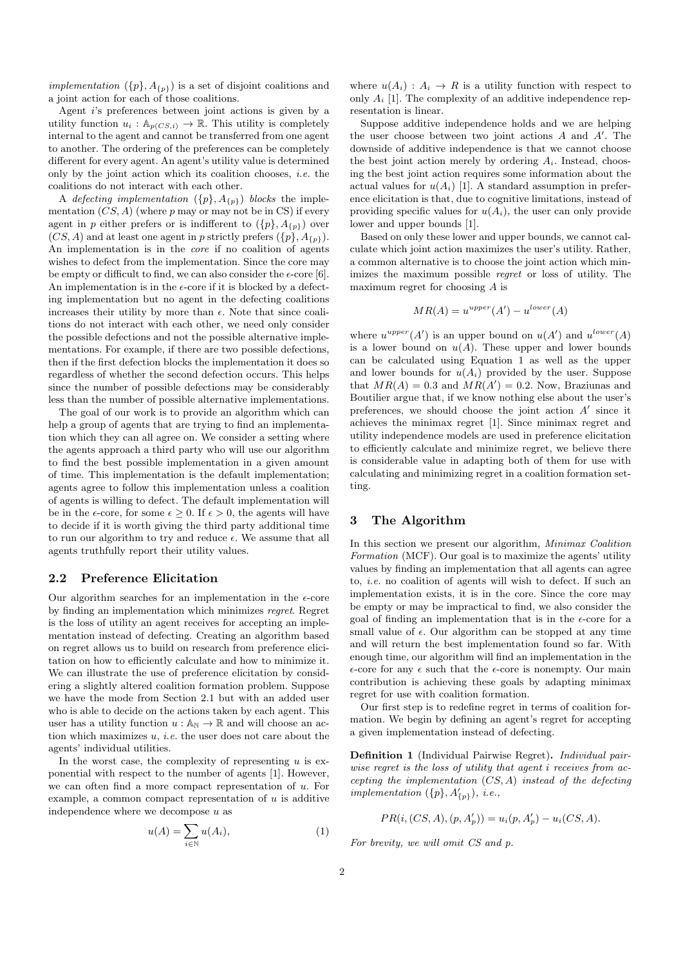implementation  $({p}, A_{p})$  is a set of disjoint coalitions and a joint action for each of those coalitions.

Agent i's preferences between joint actions is given by a utility function  $u_i : \mathbb{A}_{p(CS,i)} \to \mathbb{R}$ . This utility is completely internal to the agent and cannot be transferred from one agent to another. The ordering of the preferences can be completely different for every agent. An agent's utility value is determined only by the joint action which its coalition chooses, i.e. the coalitions do not interact with each other.

A defecting implementation  $({p}, A_{p})$  blocks the implementation  $(CS, A)$  (where p may or may not be in CS) if every agent in p either prefers or is indifferent to  $({p}, A_{p})$  over  $(CS, A)$  and at least one agent in p strictly prefers  $({p}, A_{p})$ . An implementation is in the core if no coalition of agents wishes to defect from the implementation. Since the core may be empty or difficult to find, we can also consider the  $\epsilon$ -core [6]. An implementation is in the  $\epsilon$ -core if it is blocked by a defecting implementation but no agent in the defecting coalitions increases their utility by more than  $\epsilon$ . Note that since coalitions do not interact with each other, we need only consider the possible defections and not the possible alternative implementations. For example, if there are two possible defections, then if the first defection blocks the implementation it does so regardless of whether the second defection occurs. This helps since the number of possible defections may be considerably less than the number of possible alternative implementations.

The goal of our work is to provide an algorithm which can help a group of agents that are trying to find an implementation which they can all agree on. We consider a setting where the agents approach a third party who will use our algorithm to find the best possible implementation in a given amount of time. This implementation is the default implementation; agents agree to follow this implementation unless a coalition of agents is willing to defect. The default implementation will be in the  $\epsilon$ -core, for some  $\epsilon \geq 0$ . If  $\epsilon > 0$ , the agents will have to decide if it is worth giving the third party additional time to run our algorithm to try and reduce  $\epsilon$ . We assume that all agents truthfully report their utility values.

#### 2.2 Preference Elicitation

Our algorithm searches for an implementation in the  $\epsilon$ -core by finding an implementation which minimizes regret. Regret is the loss of utility an agent receives for accepting an implementation instead of defecting. Creating an algorithm based on regret allows us to build on research from preference elicitation on how to efficiently calculate and how to minimize it. We can illustrate the use of preference elicitation by considering a slightly altered coalition formation problem. Suppose we have the mode from Section 2.1 but with an added user who is able to decide on the actions taken by each agent. This user has a utility function  $u : A_N \to \mathbb{R}$  and will choose an action which maximizes  $u$ , *i.e.* the user does not care about the agents' individual utilities.

In the worst case, the complexity of representing  $u$  is exponential with respect to the number of agents [1]. However, we can often find a more compact representation of u. For example, a common compact representation of  $u$  is additive independence where we decompose  $u$  as

$$
u(A) = \sum_{i \in \mathbb{N}} u(A_i), \tag{1}
$$

where  $u(A_i)$ :  $A_i \rightarrow R$  is a utility function with respect to only  $A_i$  [1]. The complexity of an additive independence representation is linear.

Suppose additive independence holds and we are helping the user choose between two joint actions  $A$  and  $A'$ . The downside of additive independence is that we cannot choose the best joint action merely by ordering  $A_i$ . Instead, choosing the best joint action requires some information about the actual values for  $u(A_i)$  [1]. A standard assumption in preference elicitation is that, due to cognitive limitations, instead of providing specific values for  $u(A_i)$ , the user can only provide lower and upper bounds [1].

Based on only these lower and upper bounds, we cannot calculate which joint action maximizes the user's utility. Rather, a common alternative is to choose the joint action which minimizes the maximum possible regret or loss of utility. The maximum regret for choosing A is

$$
MR(A) = u^{upper}(A') - u^{lower}(A)
$$

where  $u^{upper}(A')$  is an upper bound on  $u(A')$  and  $u^{lower}(A)$ is a lower bound on  $u(A)$ . These upper and lower bounds can be calculated using Equation 1 as well as the upper and lower bounds for  $u(A_i)$  provided by the user. Suppose that  $MR(A) = 0.3$  and  $MR(A') = 0.2$ . Now, Braziunas and Boutilier argue that, if we know nothing else about the user's preferences, we should choose the joint action  $A'$  since it achieves the minimax regret [1]. Since minimax regret and utility independence models are used in preference elicitation to efficiently calculate and minimize regret, we believe there is considerable value in adapting both of them for use with calculating and minimizing regret in a coalition formation setting.

### 3 The Algorithm

In this section we present our algorithm, Minimax Coalition Formation (MCF). Our goal is to maximize the agents' utility values by finding an implementation that all agents can agree to, i.e. no coalition of agents will wish to defect. If such an implementation exists, it is in the core. Since the core may be empty or may be impractical to find, we also consider the goal of finding an implementation that is in the  $\epsilon$ -core for a small value of  $\epsilon$ . Our algorithm can be stopped at any time and will return the best implementation found so far. With enough time, our algorithm will find an implementation in the  $\epsilon$ -core for any  $\epsilon$  such that the  $\epsilon$ -core is nonempty. Our main contribution is achieving these goals by adapting minimax regret for use with coalition formation.

Our first step is to redefine regret in terms of coalition formation. We begin by defining an agent's regret for accepting a given implementation instead of defecting.

Definition 1 (Individual Pairwise Regret). Individual pairwise regret is the loss of utility that agent i receives from accepting the implementation  $(CS, A)$  instead of the defecting implementation  $({p}, A'_{p})$ , i.e.,

 $PR(i, (CS, A), (p, A'_{p})) = u_i(p, A'_{p}) - u_i(CS, A).$ 

For brevity, we will omit CS and p.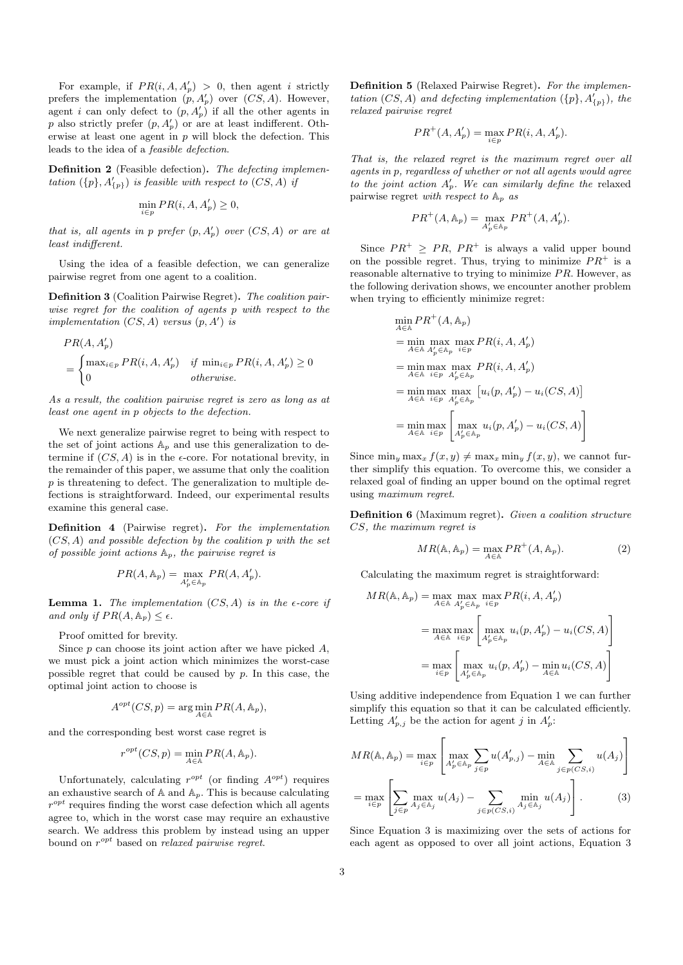For example, if  $PR(i, A, A'_p) > 0$ , then agent i strictly prefers the implementation  $(p, A'_p)$  over  $(CS, A)$ . However, agent *i* can only defect to  $(p, A'_p)$  if all the other agents in p also strictly prefer  $(p, A'_p)$  or are at least indifferent. Otherwise at least one agent in  $p$  will block the defection. This leads to the idea of a feasible defection.

Definition 2 (Feasible defection). The defecting implementation  $({p}, A'_{p})$  is feasible with respect to  $(CS, A)$  if

$$
\min_{i \in p} PR(i, A, A'_p) \ge 0,
$$

that is, all agents in p prefer  $(p, A'_p)$  over  $(CS, A)$  or are at least indifferent.

Using the idea of a feasible defection, we can generalize pairwise regret from one agent to a coalition.

Definition 3 (Coalition Pairwise Regret). The coalition pairwise regret for the coalition of agents p with respect to the implementation  $(CS, A)$  versus  $(p, A')$  is

$$
PR(A, A'_{p})
$$
  
= 
$$
\begin{cases} \max_{i \in p} PR(i, A, A'_{p}) & \text{if } \min_{i \in p} PR(i, A, A'_{p}) \ge 0 \\ 0 & \text{otherwise.} \end{cases}
$$

As a result, the coalition pairwise regret is zero as long as at least one agent in p objects to the defection.

We next generalize pairwise regret to being with respect to the set of joint actions  $A_p$  and use this generalization to determine if  $(CS, A)$  is in the  $\epsilon$ -core. For notational brevity, in the remainder of this paper, we assume that only the coalition p is threatening to defect. The generalization to multiple defections is straightforward. Indeed, our experimental results examine this general case.

Definition 4 (Pairwise regret). For the implementation  $(CS, A)$  and possible defection by the coalition p with the set of possible joint actions  $A_p$ , the pairwise regret is

$$
PR(A, \mathbb{A}_p) = \max_{A'_p \in \mathbb{A}_p} PR(A, A'_p).
$$

**Lemma 1.** The implementation  $(CS, A)$  is in the  $\epsilon$ -core if and only if  $PR(A, \mathbb{A}_p) \leq \epsilon$ .

Proof omitted for brevity.

Since  $p$  can choose its joint action after we have picked  $A$ , we must pick a joint action which minimizes the worst-case possible regret that could be caused by  $p$ . In this case, the optimal joint action to choose is

$$
A^{opt}(CS, p) = \arg\min_{A \in \mathbb{A}} PR(A, \mathbb{A}_p),
$$

and the corresponding best worst case regret is

$$
r^{opt}(CS, p) = \min_{A \in \mathbb{A}} PR(A, \mathbb{A}_p).
$$

Unfortunately, calculating  $r^{opt}$  (or finding  $A^{opt}$ ) requires an exhaustive search of  $A$  and  $A_p$ . This is because calculating  $r^{opt}$  requires finding the worst case defection which all agents agree to, which in the worst case may require an exhaustive search. We address this problem by instead using an upper bound on  $r^{opt}$  based on *relaxed pairwise regret*.

Definition 5 (Relaxed Pairwise Regret). For the implementation  $(CS, A)$  and defecting implementation  $({p}, A'_{p})$ , the relaxed pairwise regret

$$
PR^{+}(A, A'_{p}) = \max_{i \in p} PR(i, A, A'_{p}).
$$

That is, the relaxed regret is the maximum regret over all agents in p, regardless of whether or not all agents would agree to the joint action  $A'_p$ . We can similarly define the relaxed pairwise regret with respect to  $A_p$  as

$$
PR^{+}(A, \mathbb{A}_{p}) = \max_{A'_{p} \in \mathbb{A}_{p}} PR^{+}(A, A'_{p}).
$$

Since  $PR^+ \ge PR$ ,  $PR^+$  is always a valid upper bound on the possible regret. Thus, trying to minimize  $PR^+$  is a reasonable alternative to trying to minimize  $PR$ . However, as the following derivation shows, we encounter another problem when trying to efficiently minimize regret:

$$
\min_{A \in \mathbb{A}} PR^+(A, \mathbb{A}_p)
$$
\n
$$
= \min_{A \in \mathbb{A}} \max_{A'_p \in \mathbb{A}_p} \max_{i \in p} PR(i, A, A'_p)
$$
\n
$$
= \min_{A \in \mathbb{A}} \max_{i \in p} \max_{A'_p \in \mathbb{A}_p} PR(i, A, A'_p)
$$
\n
$$
= \min_{A \in \mathbb{A}} \max_{i \in p} \max_{A'_p \in \mathbb{A}_p} [u_i(p, A'_p) - u_i(CS, A)]
$$
\n
$$
= \min_{A \in \mathbb{A}} \max_{i \in p} \left[ \max_{A'_p \in \mathbb{A}_p} u_i(p, A'_p) - u_i(CS, A) \right]
$$

Since  $\min_{y} \max_{x} f(x, y) \neq \max_{x} \min_{y} f(x, y)$ , we cannot further simplify this equation. To overcome this, we consider a relaxed goal of finding an upper bound on the optimal regret using maximum regret.

Definition 6 (Maximum regret). Given a coalition structure CS, the maximum regret is

$$
MR(\mathbb{A}, \mathbb{A}_p) = \max_{A \in \mathbb{A}} PR^+(A, \mathbb{A}_p).
$$
 (2)

Calculating the maximum regret is straightforward:

$$
MR(\mathbb{A}, \mathbb{A}_p) = \max_{A \in \mathbb{A}} \max_{A'_p \in \mathbb{A}_p} \max_{i \in p} PR(i, A, A'_p)
$$
  
= 
$$
\max_{A \in \mathbb{A}} \max_{i \in p} \left[ \max_{A'_p \in \mathbb{A}_p} u_i(p, A'_p) - u_i(CS, A) \right]
$$
  
= 
$$
\max_{i \in p} \left[ \max_{A'_p \in \mathbb{A}_p} u_i(p, A'_p) - \min_{A \in \mathbb{A}} u_i(CS, A) \right]
$$

Using additive independence from Equation 1 we can further simplify this equation so that it can be calculated efficiently. Letting  $A'_{p,j}$  be the action for agent j in  $A'_{p}$ :

$$
MR(\mathbb{A}, \mathbb{A}_p) = \max_{i \in p} \left[ \max_{A'_p \in \mathbb{A}_p} \sum_{j \in p} u(A'_{p,j}) - \min_{A \in \mathbb{A}} \sum_{j \in p(CS,i)} u(A_j) \right]
$$

$$
= \max_{i \in p} \left[ \sum_{j \in p} \max_{A_j \in \mathbb{A}_j} u(A_j) - \sum_{j \in p(CS,i)} \min_{A_j \in \mathbb{A}_j} u(A_j) \right].
$$
(3)

Since Equation 3 is maximizing over the sets of actions for each agent as opposed to over all joint actions, Equation 3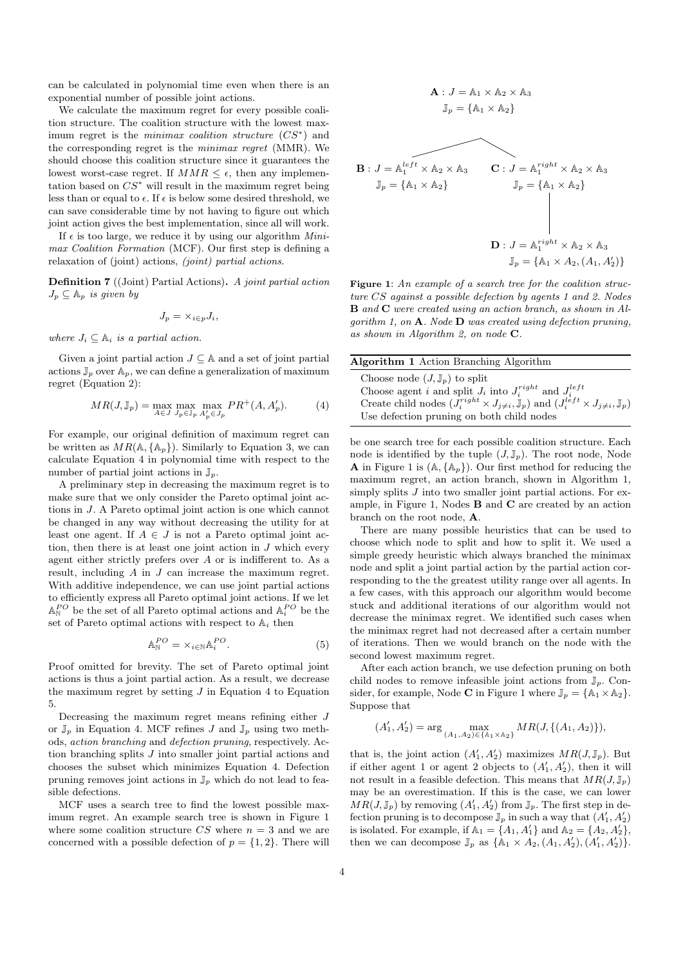can be calculated in polynomial time even when there is an exponential number of possible joint actions.

We calculate the maximum regret for every possible coalition structure. The coalition structure with the lowest maximum regret is the *minimax coalition structure*  $(CS^*)$  and the corresponding regret is the minimax regret (MMR). We should choose this coalition structure since it guarantees the lowest worst-case regret. If  $MMR \leq \epsilon$ , then any implementation based on  $CS^*$  will result in the maximum regret being less than or equal to  $\epsilon$ . If  $\epsilon$  is below some desired threshold, we can save considerable time by not having to figure out which joint action gives the best implementation, since all will work.

If  $\epsilon$  is too large, we reduce it by using our algorithm *Mini*max Coalition Formation (MCF). Our first step is defining a relaxation of (joint) actions, (joint) partial actions.

Definition 7 ((Joint) Partial Actions). A joint partial action  $J_p \subseteq \mathbb{A}_p$  is given by

$$
J_p = \times_{i \in p} J_i,
$$

where  $J_i \subset \mathbb{A}_i$  is a partial action.

Given a joint partial action  $J \subseteq A$  and a set of joint partial actions  $\mathbb{J}_p$  over  $\mathbb{A}_p$ , we can define a generalization of maximum regret (Equation 2):

$$
MR(J, \mathbb{J}_p) = \max_{A \in J} \max_{J_p \in \mathbb{J}_p} \max_{A'_p \in J_p} PR^+(A, A'_p). \tag{4}
$$

For example, our original definition of maximum regret can be written as  $MR(A, \{A_p\})$ . Similarly to Equation 3, we can calculate Equation 4 in polynomial time with respect to the number of partial joint actions in  $\mathbb{J}_p$ .

A preliminary step in decreasing the maximum regret is to make sure that we only consider the Pareto optimal joint actions in J. A Pareto optimal joint action is one which cannot be changed in any way without decreasing the utility for at least one agent. If  $A \in J$  is not a Pareto optimal joint action, then there is at least one joint action in  $J$  which every agent either strictly prefers over A or is indifferent to. As a result, including A in J can increase the maximum regret. With additive independence, we can use joint partial actions to efficiently express all Pareto optimal joint actions. If we let  $\mathbb{A}^{PO}_{\mathbb{N}}$  be the set of all Pareto optimal actions and  $\mathbb{A}^{PO}_{i}$  be the set of Pareto optimal actions with respect to  $A_i$  then

$$
\mathbb{A}_{\mathbb{N}}^{PO} = \times_{i \in \mathbb{N}} \mathbb{A}_i^{PO}.
$$
 (5)

Proof omitted for brevity. The set of Pareto optimal joint actions is thus a joint partial action. As a result, we decrease the maximum regret by setting  $J$  in Equation 4 to Equation 5.

Decreasing the maximum regret means refining either J or  $\mathbb{J}_p$  in Equation 4. MCF refines J and  $\mathbb{J}_p$  using two methods, action branching and defection pruning, respectively. Action branching splits J into smaller joint partial actions and chooses the subset which minimizes Equation 4. Defection pruning removes joint actions in  $\mathbb{J}_p$  which do not lead to feasible defections.

MCF uses a search tree to find the lowest possible maximum regret. An example search tree is shown in Figure 1 where some coalition structure  $CS$  where  $n = 3$  and we are concerned with a possible defection of  $p = \{1, 2\}$ . There will

$$
\mathbf{A}: J = \mathbb{A}_1 \times \mathbb{A}_2 \times \mathbb{A}_3
$$
  
\n
$$
\mathbb{J}_p = \{ \mathbb{A}_1 \times \mathbb{A}_2 \}
$$
  
\n
$$
\mathbf{B}: J = \mathbb{A}_1^{left} \times \mathbb{A}_2 \times \mathbb{A}_3
$$
  
\n
$$
\mathbb{J}_p = \{ \mathbb{A}_1 \times \mathbb{A}_2 \}
$$
  
\n
$$
\mathbb{J}_p = \{ \mathbb{A}_1 \times \mathbb{A}_2 \}
$$
  
\n
$$
\mathbb{D}: J = \mathbb{A}_1^{right} \times \mathbb{A}_2 \times \mathbb{A}_3
$$
  
\n
$$
\mathbb{J}_p = \{ \mathbb{A}_1 \times \mathbb{A}_2 \times \mathbb{A}_3
$$
  
\n
$$
\mathbb{J}_p = \{ \mathbb{A}_1 \times A_2, (A_1, A_2') \}
$$

Figure 1: An example of a search tree for the coalition structure CS against a possible defection by agents 1 and 2. Nodes B and C were created using an action branch, as shown in Algorithm 1, on  $\bf{A}$ . Node  $\bf{D}$  was created using defection pruning. as shown in Algorithm 2, on node C.

| <b>Algorithm 1</b> Action Branching Algorithm                                                                                   |
|---------------------------------------------------------------------------------------------------------------------------------|
| Choose node $(J, \mathbb{J}_n)$ to split                                                                                        |
| Choose agent i and split $J_i$ into $J_i^{right}$ and $J_i^{left}$                                                              |
| Create child nodes $(\hat{J}_i^{right} \times J_{i \neq i}, \mathbb{J}_p)$ and $(J_i^{left} \times J_{i \neq i}, \mathbb{J}_p)$ |
| Use defection pruning on both child nodes                                                                                       |

be one search tree for each possible coalition structure. Each node is identified by the tuple  $(J, \mathbb{J}_p)$ . The root node, Node **A** in Figure 1 is  $(A, \{A_p\})$ . Our first method for reducing the maximum regret, an action branch, shown in Algorithm 1, simply splits  $J$  into two smaller joint partial actions. For example, in Figure 1, Nodes B and C are created by an action branch on the root node, A.

There are many possible heuristics that can be used to choose which node to split and how to split it. We used a simple greedy heuristic which always branched the minimax node and split a joint partial action by the partial action corresponding to the the greatest utility range over all agents. In a few cases, with this approach our algorithm would become stuck and additional iterations of our algorithm would not decrease the minimax regret. We identified such cases when the minimax regret had not decreased after a certain number of iterations. Then we would branch on the node with the second lowest maximum regret.

After each action branch, we use defection pruning on both child nodes to remove infeasible joint actions from  $\mathbb{J}_p$ . Consider, for example, Node **C** in Figure 1 where  $\mathbb{J}_p = {\mathbb{A}_1 \times \mathbb{A}_2}.$ Suppose that

$$
(A'_1, A'_2) = \arg\max_{(A_1, A_2) \in \{\mathbb{A}_1 \times \mathbb{A}_2\}} MR(J, \{(A_1, A_2)\}),
$$

that is, the joint action  $(A'_1, A'_2)$  maximizes  $MR(J, \mathbb{J}_p)$ . But if either agent 1 or agent 2 objects to  $(A'_1, A'_2)$ , then it will not result in a feasible defection. This means that  $MR(J, \mathbb{J}_p)$ may be an overestimation. If this is the case, we can lower  $MR(J, \mathbb{J}_p)$  by removing  $(A'_1, A'_2)$  from  $\mathbb{J}_p$ . The first step in defection pruning is to decompose  $\mathbb{J}_p$  in such a way that  $(A'_1, A'_2)$ is isolated. For example, if  $\mathbb{A}_1 = \{A_1, A'_1\}$  and  $\mathbb{A}_2 = \{A_2, A'_2\}$ , then we can decompose  $\mathbb{J}_p$  as  $\{ \mathbb{A}_1 \times A_2, (A_1, A'_2), (A'_1, A'_2) \}.$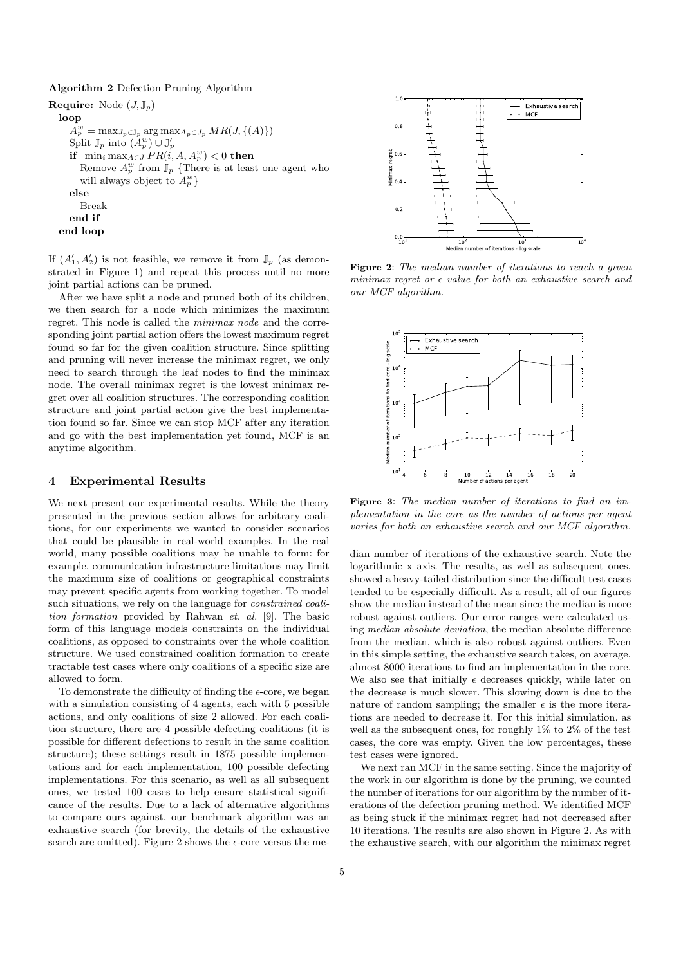| Algorithm 2 Defection Pruning Algorithm |  |  |  |
|-----------------------------------------|--|--|--|
|-----------------------------------------|--|--|--|

**Require:** Node  $(J, \mathbb{J}_n)$ loop  $A_p^w = \max_{J_p \in \mathbb{J}_p} \arg \max_{A_p \in J_p} MR(J, \{(A)\})$ Split  $\mathbb{J}_p$  into  $(A_p^w) \cup \mathbb{J}_p'$ if  $\min_i \max_{A \in J} PR(i, A, A_p^w) < 0$  then Remove  $A_p^w$  from  $\mathbb{J}_p$  {There is at least one agent who will always object to  $A_p^w$  } else Break end if end loop

If  $(A'_1, A'_2)$  is not feasible, we remove it from  $\mathbb{J}_p$  (as demonstrated in Figure 1) and repeat this process until no more joint partial actions can be pruned.

After we have split a node and pruned both of its children, we then search for a node which minimizes the maximum regret. This node is called the minimax node and the corresponding joint partial action offers the lowest maximum regret found so far for the given coalition structure. Since splitting and pruning will never increase the minimax regret, we only need to search through the leaf nodes to find the minimax node. The overall minimax regret is the lowest minimax regret over all coalition structures. The corresponding coalition structure and joint partial action give the best implementation found so far. Since we can stop MCF after any iteration and go with the best implementation yet found, MCF is an anytime algorithm.

#### 4 Experimental Results

We next present our experimental results. While the theory presented in the previous section allows for arbitrary coalitions, for our experiments we wanted to consider scenarios that could be plausible in real-world examples. In the real world, many possible coalitions may be unable to form: for example, communication infrastructure limitations may limit the maximum size of coalitions or geographical constraints may prevent specific agents from working together. To model such situations, we rely on the language for constrained coalition formation provided by Rahwan et. al. [9]. The basic form of this language models constraints on the individual coalitions, as opposed to constraints over the whole coalition structure. We used constrained coalition formation to create tractable test cases where only coalitions of a specific size are allowed to form.

To demonstrate the difficulty of finding the  $\epsilon$ -core, we began with a simulation consisting of 4 agents, each with 5 possible actions, and only coalitions of size 2 allowed. For each coalition structure, there are 4 possible defecting coalitions (it is possible for different defections to result in the same coalition structure); these settings result in 1875 possible implementations and for each implementation, 100 possible defecting implementations. For this scenario, as well as all subsequent ones, we tested 100 cases to help ensure statistical significance of the results. Due to a lack of alternative algorithms to compare ours against, our benchmark algorithm was an exhaustive search (for brevity, the details of the exhaustive search are omitted). Figure 2 shows the  $\epsilon$ -core versus the me-



Figure 2: The median number of iterations to reach a given minimax regret or  $\epsilon$  value for both an exhaustive search and our MCF algorithm.



Figure 3: The median number of iterations to find an implementation in the core as the number of actions per agent varies for both an exhaustive search and our MCF algorithm.

dian number of iterations of the exhaustive search. Note the logarithmic x axis. The results, as well as subsequent ones. showed a heavy-tailed distribution since the difficult test cases tended to be especially difficult. As a result, all of our figures show the median instead of the mean since the median is more robust against outliers. Our error ranges were calculated using median absolute deviation, the median absolute difference from the median, which is also robust against outliers. Even in this simple setting, the exhaustive search takes, on average, almost 8000 iterations to find an implementation in the core. We also see that initially  $\epsilon$  decreases quickly, while later on the decrease is much slower. This slowing down is due to the nature of random sampling; the smaller  $\epsilon$  is the more iterations are needed to decrease it. For this initial simulation, as well as the subsequent ones, for roughly 1% to 2% of the test cases, the core was empty. Given the low percentages, these test cases were ignored.

We next ran MCF in the same setting. Since the majority of the work in our algorithm is done by the pruning, we counted the number of iterations for our algorithm by the number of iterations of the defection pruning method. We identified MCF as being stuck if the minimax regret had not decreased after 10 iterations. The results are also shown in Figure 2. As with the exhaustive search, with our algorithm the minimax regret